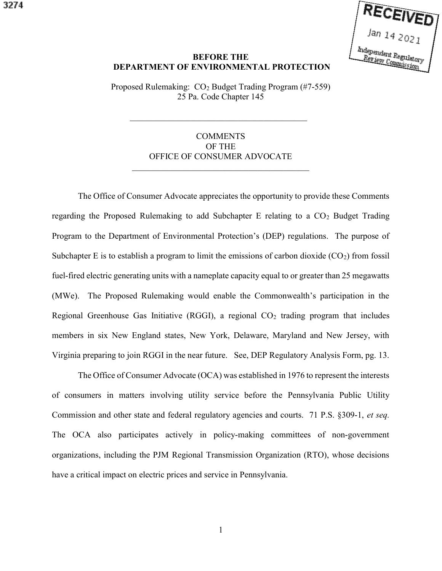

## BEFORE THE DEPARTMENT OF ENVIRONMENTAL PROTECTION

Proposed Rulemaking: CO<sub>2</sub> Budget Trading Program (#7-559) 25 Pa. Code Chapter 145

## COMMENTS OF THE OFFICE OF CONSUMER ADVOCATE

 The Office of Consumer Advocate appreciates the opportunity to provide these Comments regarding the Proposed Rulemaking to add Subchapter E relating to a  $CO<sub>2</sub>$  Budget Trading Program to the Department of Environmental Protection's (DEP) regulations. The purpose of Subchapter E is to establish a program to limit the emissions of carbon dioxide  $(CO<sub>2</sub>)$  from fossil fuel-fired electric generating units with a nameplate capacity equal to or greater than 25 megawatts (MWe). The Proposed Rulemaking would enable the Commonwealth's participation in the Regional Greenhouse Gas Initiative (RGGI), a regional  $CO<sub>2</sub>$  trading program that includes members in six New England states, New York, Delaware, Maryland and New Jersey, with Virginia preparing to join RGGI in the near future. See, DEP Regulatory Analysis Form, pg. 13.

 The Office of Consumer Advocate (OCA) was established in 1976 to represent the interests of consumers in matters involving utility service before the Pennsylvania Public Utility Commission and other state and federal regulatory agencies and courts. 71 P.S. §309-1, et seq. The OCA also participates actively in policy-making committees of non-government organizations, including the PJM Regional Transmission Organization (RTO), whose decisions have a critical impact on electric prices and service in Pennsylvania.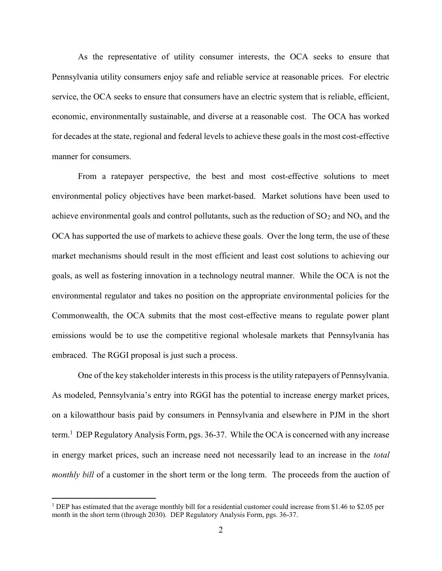As the representative of utility consumer interests, the OCA seeks to ensure that Pennsylvania utility consumers enjoy safe and reliable service at reasonable prices. For electric service, the OCA seeks to ensure that consumers have an electric system that is reliable, efficient, economic, environmentally sustainable, and diverse at a reasonable cost. The OCA has worked for decades at the state, regional and federal levels to achieve these goals in the most cost-effective manner for consumers.

 From a ratepayer perspective, the best and most cost-effective solutions to meet environmental policy objectives have been market-based. Market solutions have been used to achieve environmental goals and control pollutants, such as the reduction of  $SO_2$  and  $NO<sub>x</sub>$  and the OCA has supported the use of markets to achieve these goals. Over the long term, the use of these market mechanisms should result in the most efficient and least cost solutions to achieving our goals, as well as fostering innovation in a technology neutral manner. While the OCA is not the environmental regulator and takes no position on the appropriate environmental policies for the Commonwealth, the OCA submits that the most cost-effective means to regulate power plant emissions would be to use the competitive regional wholesale markets that Pennsylvania has embraced. The RGGI proposal is just such a process.

 One of the key stakeholder interests in this process is the utility ratepayers of Pennsylvania. As modeled, Pennsylvania's entry into RGGI has the potential to increase energy market prices, on a kilowatthour basis paid by consumers in Pennsylvania and elsewhere in PJM in the short term.<sup>1</sup> DEP Regulatory Analysis Form, pgs. 36-37. While the OCA is concerned with any increase in energy market prices, such an increase need not necessarily lead to an increase in the total monthly bill of a customer in the short term or the long term. The proceeds from the auction of

 $\overline{a}$ 

<sup>&</sup>lt;sup>1</sup> DEP has estimated that the average monthly bill for a residential customer could increase from \$1.46 to \$2.05 per month in the short term (through 2030). DEP Regulatory Analysis Form, pgs. 36-37.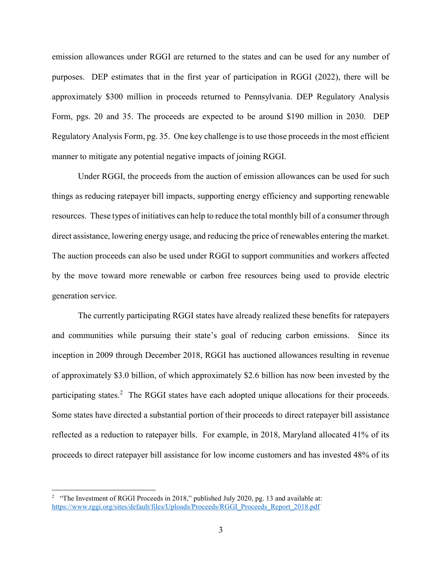emission allowances under RGGI are returned to the states and can be used for any number of purposes. DEP estimates that in the first year of participation in RGGI (2022), there will be approximately \$300 million in proceeds returned to Pennsylvania. DEP Regulatory Analysis Form, pgs. 20 and 35. The proceeds are expected to be around \$190 million in 2030. DEP Regulatory Analysis Form, pg. 35. One key challenge is to use those proceeds in the most efficient manner to mitigate any potential negative impacts of joining RGGI.

 Under RGGI, the proceeds from the auction of emission allowances can be used for such things as reducing ratepayer bill impacts, supporting energy efficiency and supporting renewable resources. These types of initiatives can help to reduce the total monthly bill of a consumer through direct assistance, lowering energy usage, and reducing the price of renewables entering the market. The auction proceeds can also be used under RGGI to support communities and workers affected by the move toward more renewable or carbon free resources being used to provide electric generation service.

 The currently participating RGGI states have already realized these benefits for ratepayers and communities while pursuing their state's goal of reducing carbon emissions. Since its inception in 2009 through December 2018, RGGI has auctioned allowances resulting in revenue of approximately \$3.0 billion, of which approximately \$2.6 billion has now been invested by the participating states.<sup>2</sup> The RGGI states have each adopted unique allocations for their proceeds. Some states have directed a substantial portion of their proceeds to direct ratepayer bill assistance reflected as a reduction to ratepayer bills. For example, in 2018, Maryland allocated 41% of its proceeds to direct ratepayer bill assistance for low income customers and has invested 48% of its

<sup>&</sup>lt;sup>2</sup> "The Investment of RGGI Proceeds in 2018," published July 2020, pg. 13 and available at: https://www.rggi.org/sites/default/files/Uploads/Proceeds/RGGI\_Proceeds\_Report\_2018.pdf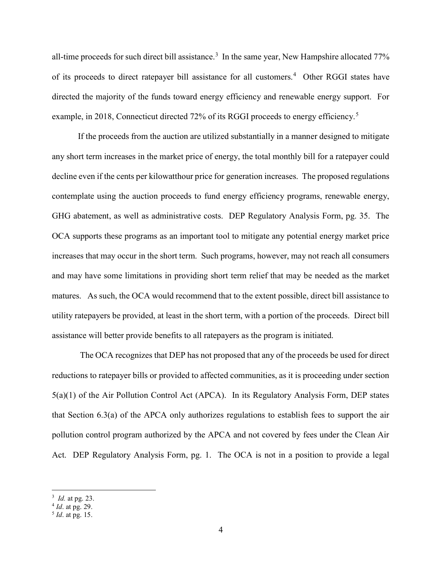all-time proceeds for such direct bill assistance.<sup>3</sup> In the same year, New Hampshire allocated 77% of its proceeds to direct ratepayer bill assistance for all customers.<sup>4</sup> Other RGGI states have directed the majority of the funds toward energy efficiency and renewable energy support. For example, in 2018, Connecticut directed 72% of its RGGI proceeds to energy efficiency.<sup>5</sup>

If the proceeds from the auction are utilized substantially in a manner designed to mitigate any short term increases in the market price of energy, the total monthly bill for a ratepayer could decline even if the cents per kilowatthour price for generation increases. The proposed regulations contemplate using the auction proceeds to fund energy efficiency programs, renewable energy, GHG abatement, as well as administrative costs. DEP Regulatory Analysis Form, pg. 35. The OCA supports these programs as an important tool to mitigate any potential energy market price increases that may occur in the short term. Such programs, however, may not reach all consumers and may have some limitations in providing short term relief that may be needed as the market matures. As such, the OCA would recommend that to the extent possible, direct bill assistance to utility ratepayers be provided, at least in the short term, with a portion of the proceeds. Direct bill assistance will better provide benefits to all ratepayers as the program is initiated.

 The OCA recognizes that DEP has not proposed that any of the proceeds be used for direct reductions to ratepayer bills or provided to affected communities, as it is proceeding under section 5(a)(1) of the Air Pollution Control Act (APCA). In its Regulatory Analysis Form, DEP states that Section 6.3(a) of the APCA only authorizes regulations to establish fees to support the air pollution control program authorized by the APCA and not covered by fees under the Clean Air Act. DEP Regulatory Analysis Form, pg. 1. The OCA is not in a position to provide a legal

 $\frac{3}{4}$  *Id.* at pg. 23.

<sup>&</sup>lt;sup>5</sup> *Id.* at pg. 15.